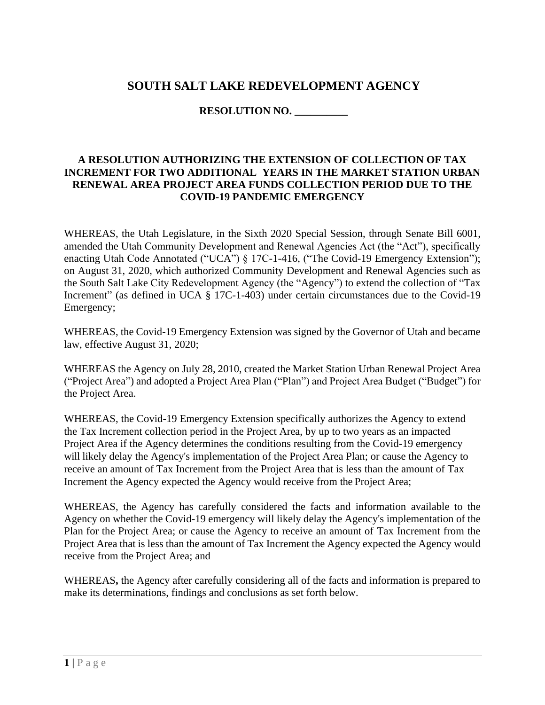## **SOUTH SALT LAKE REDEVELOPMENT AGENCY**

### **RESOLUTION NO. \_\_\_\_\_\_\_\_\_\_**

#### **A RESOLUTION AUTHORIZING THE EXTENSION OF COLLECTION OF TAX INCREMENT FOR TWO ADDITIONAL YEARS IN THE MARKET STATION URBAN RENEWAL AREA PROJECT AREA FUNDS COLLECTION PERIOD DUE TO THE COVID-19 PANDEMIC EMERGENCY**

WHEREAS, the Utah Legislature, in the Sixth 2020 Special Session, through Senate Bill 6001, amended the Utah Community Development and Renewal Agencies Act (the "Act"), specifically enacting Utah Code Annotated ("UCA") § 17C-1-416, ("The Covid-19 Emergency Extension"); on August 31, 2020, which authorized Community Development and Renewal Agencies such as the South Salt Lake City Redevelopment Agency (the "Agency") to extend the collection of "Tax Increment" (as defined in UCA § 17C-1-403) under certain circumstances due to the Covid-19 Emergency;

WHEREAS, the Covid-19 Emergency Extension was signed by the Governor of Utah and became law, effective August 31, 2020;

WHEREAS the Agency on July 28, 2010, created the Market Station Urban Renewal Project Area ("Project Area") and adopted a Project Area Plan ("Plan") and Project Area Budget ("Budget") for the Project Area.

WHEREAS, the Covid-19 Emergency Extension specifically authorizes the Agency to extend the Tax Increment collection period in the Project Area, by up to two years as an impacted Project Area if the Agency determines the conditions resulting from the Covid-19 emergency will likely delay the Agency's implementation of the Project Area Plan; or cause the Agency to receive an amount of Tax Increment from the Project Area that is less than the amount of Tax Increment the Agency expected the Agency would receive from the Project Area;

WHEREAS, the Agency has carefully considered the facts and information available to the Agency on whether the Covid-19 emergency will likely delay the Agency's implementation of the Plan for the Project Area; or cause the Agency to receive an amount of Tax Increment from the Project Area that is less than the amount of Tax Increment the Agency expected the Agency would receive from the Project Area; and

WHEREAS**,** the Agency after carefully considering all of the facts and information is prepared to make its determinations, findings and conclusions as set forth below.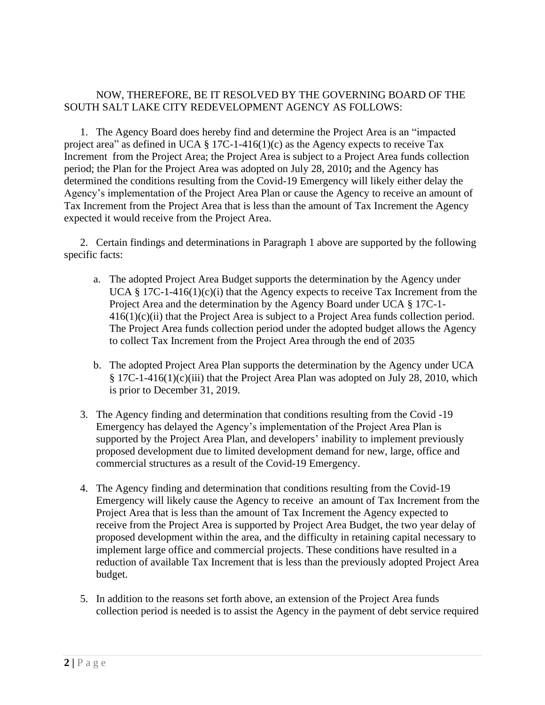### NOW, THEREFORE, BE IT RESOLVED BY THE GOVERNING BOARD OF THE SOUTH SALT LAKE CITY REDEVELOPMENT AGENCY AS FOLLOWS:

1. The Agency Board does hereby find and determine the Project Area is an "impacted project area" as defined in UCA  $\S 17C-1-416(1)(c)$  as the Agency expects to receive Tax Increment from the Project Area; the Project Area is subject to a Project Area funds collection period; the Plan for the Project Area was adopted on July 28, 2010**;** and the Agency has determined the conditions resulting from the Covid-19 Emergency will likely either delay the Agency's implementation of the Project Area Plan or cause the Agency to receive an amount of Tax Increment from the Project Area that is less than the amount of Tax Increment the Agency expected it would receive from the Project Area.

2. Certain findings and determinations in Paragraph 1 above are supported by the following specific facts:

- a. The adopted Project Area Budget supports the determination by the Agency under UCA § 17C-1-416(1)(c)(i) that the Agency expects to receive Tax Increment from the Project Area and the determination by the Agency Board under UCA § 17C-1-  $416(1)(c)(ii)$  that the Project Area is subject to a Project Area funds collection period. The Project Area funds collection period under the adopted budget allows the Agency to collect Tax Increment from the Project Area through the end of 2035
- b. The adopted Project Area Plan supports the determination by the Agency under UCA § 17C-1-416(1)(c)(iii) that the Project Area Plan was adopted on July 28, 2010, which is prior to December 31, 2019.
- 3. The Agency finding and determination that conditions resulting from the Covid -19 Emergency has delayed the Agency's implementation of the Project Area Plan is supported by the Project Area Plan, and developers' inability to implement previously proposed development due to limited development demand for new, large, office and commercial structures as a result of the Covid-19 Emergency.
- 4. The Agency finding and determination that conditions resulting from the Covid-19 Emergency will likely cause the Agency to receive an amount of Tax Increment from the Project Area that is less than the amount of Tax Increment the Agency expected to receive from the Project Area is supported by Project Area Budget, the two year delay of proposed development within the area, and the difficulty in retaining capital necessary to implement large office and commercial projects. These conditions have resulted in a reduction of available Tax Increment that is less than the previously adopted Project Area budget.
- 5. In addition to the reasons set forth above, an extension of the Project Area funds collection period is needed is to assist the Agency in the payment of debt service required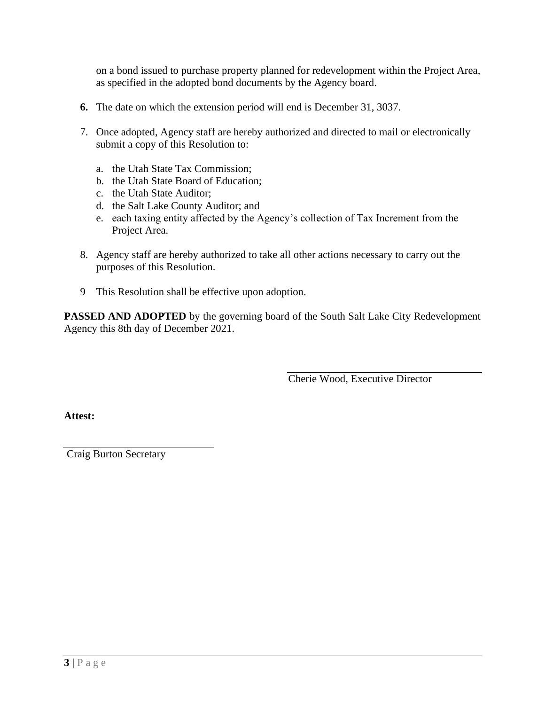on a bond issued to purchase property planned for redevelopment within the Project Area, as specified in the adopted bond documents by the Agency board.

- **6.** The date on which the extension period will end is December 31, 3037.
- 7. Once adopted, Agency staff are hereby authorized and directed to mail or electronically submit a copy of this Resolution to:
	- a. the Utah State Tax Commission;
	- b. the Utah State Board of Education;
	- c. the Utah State Auditor;
	- d. the Salt Lake County Auditor; and
	- e. each taxing entity affected by the Agency's collection of Tax Increment from the Project Area.
- 8. Agency staff are hereby authorized to take all other actions necessary to carry out the purposes of this Resolution.
- 9 This Resolution shall be effective upon adoption.

**PASSED AND ADOPTED** by the governing board of the South Salt Lake City Redevelopment Agency this 8th day of December 2021.

Cherie Wood, Executive Director

**Attest:**

Craig Burton Secretary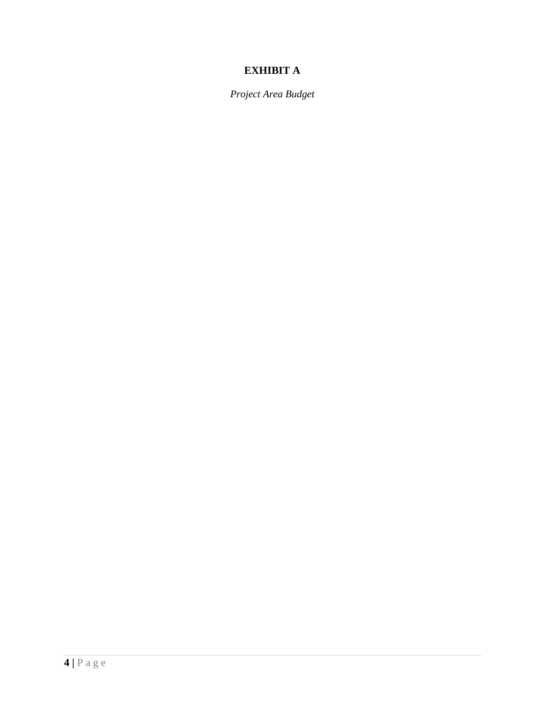# **EXHIBIT A**

*Project Area Budget*